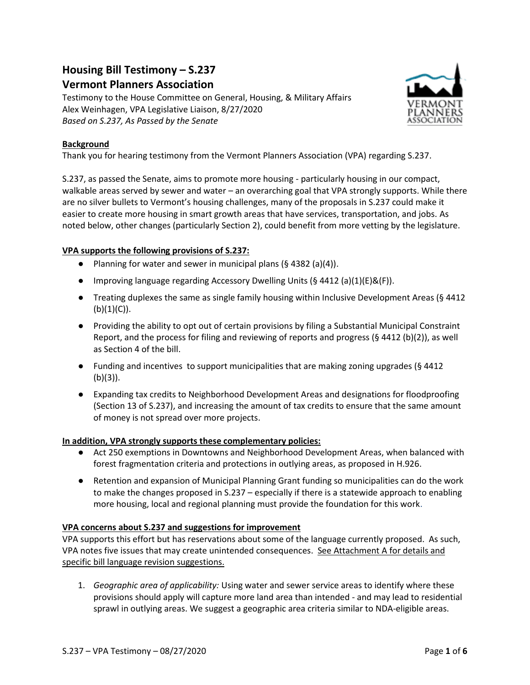## **Housing Bill Testimony – S.237**

## **Vermont Planners Association**

Testimony to the House Committee on General, Housing, & Military Affairs Alex Weinhagen, VPA Legislative Liaison, 8/27/2020 *Based on S.237, As Passed by the Senate*



#### **Background**

Thank you for hearing testimony from the Vermont Planners Association (VPA) regarding S.237.

S.237, as passed the Senate, aims to promote more housing - particularly housing in our compact, walkable areas served by sewer and water – an overarching goal that VPA strongly supports. While there are no silver bullets to Vermont's housing challenges, many of the proposals in S.237 could make it easier to create more housing in smart growth areas that have services, transportation, and jobs. As noted below, other changes (particularly Section 2), could benefit from more vetting by the legislature.

#### **VPA supports the following provisions of S.237:**

- Planning for water and sewer in municipal plans  $(§ 4382 (a)(4)).$
- Improving language regarding Accessory Dwelling Units (§ 4412 (a)(1)(E)&(F)).
- Treating duplexes the same as single family housing within Inclusive Development Areas (§ 4412  $(b)(1)(C)).$
- Providing the ability to opt out of certain provisions by filing a Substantial Municipal Constraint Report, and the process for filing and reviewing of reports and progress  $(§\ 4412 (b)(2))$ , as well as Section 4 of the bill.
- Funding and incentives to support municipalities that are making zoning upgrades (§ 4412 (b)(3)).
- Expanding tax credits to Neighborhood Development Areas and designations for floodproofing (Section 13 of S.237), and increasing the amount of tax credits to ensure that the same amount of money is not spread over more projects.

#### **In addition, VPA strongly supports these complementary policies:**

- Act 250 exemptions in Downtowns and Neighborhood Development Areas, when balanced with forest fragmentation criteria and protections in outlying areas, as proposed in H.926.
- Retention and expansion of Municipal Planning Grant funding so municipalities can do the work to make the changes proposed in S.237 – especially if there is a statewide approach to enabling more housing, local and regional planning must provide the foundation for this work.

#### **VPA concerns about S.237 and suggestions for improvement**

VPA supports this effort but has reservations about some of the language currently proposed. As such, VPA notes five issues that may create unintended consequences. See Attachment A for details and specific bill language revision suggestions.

1. *Geographic area of applicability:* Using water and sewer service areas to identify where these provisions should apply will capture more land area than intended - and may lead to residential sprawl in outlying areas. We suggest a geographic area criteria similar to NDA-eligible areas.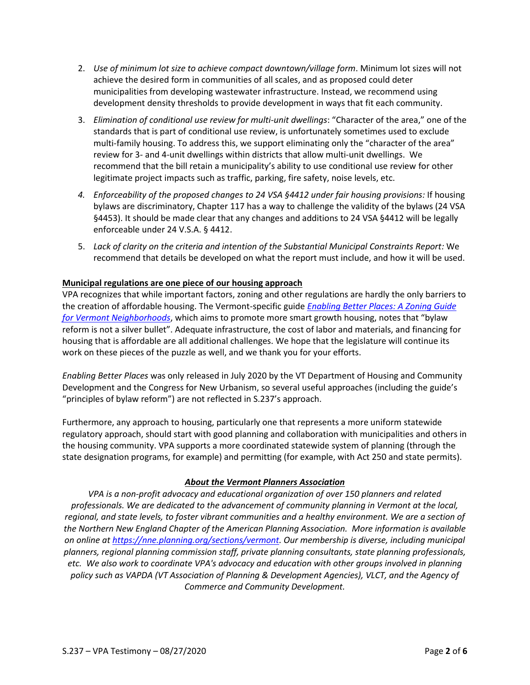- 2. *Use of minimum lot size to achieve compact downtown/village form*. Minimum lot sizes will not achieve the desired form in communities of all scales, and as proposed could deter municipalities from developing wastewater infrastructure. Instead, we recommend using development density thresholds to provide development in ways that fit each community.
- 3. *Elimination of conditional use review for multi-unit dwellings*: "Character of the area," one of the standards that is part of conditional use review, is unfortunately sometimes used to exclude multi-family housing. To address this, we support eliminating only the "character of the area" review for 3- and 4-unit dwellings within districts that allow multi-unit dwellings. We recommend that the bill retain a municipality's ability to use conditional use review for other legitimate project impacts such as traffic, parking, fire safety, noise levels, etc.
- *4. Enforceability of the proposed changes to 24 VSA §4412 under fair housing provisions:* If housing bylaws are discriminatory, Chapter 117 has a way to challenge the validity of the bylaws (24 VSA §4453). It should be made clear that any changes and additions to 24 VSA §4412 will be legally enforceable under 24 V.S.A. § 4412.
- 5. *Lack of clarity on the criteria and intention of the Substantial Municipal Constraints Report:* We recommend that details be developed on what the report must include, and how it will be used.

#### **Municipal regulations are one piece of our housing approach**

VPA recognizes that while important factors, zoning and other regulations are hardly the only barriers to the creation of affordable housing. The Vermont-specific guide *[Enabling Better Places: A Zoning Guide](https://accd.vermont.gov/content/zoning-for-great-neighborhoods)  [for Vermont Neighborhoods](https://accd.vermont.gov/content/zoning-for-great-neighborhoods)*, which aims to promote more smart growth housing, notes that "bylaw reform is not a silver bullet". Adequate infrastructure, the cost of labor and materials, and financing for housing that is affordable are all additional challenges. We hope that the legislature will continue its work on these pieces of the puzzle as well, and we thank you for your efforts.

*Enabling Better Places* was only released in July 2020 by the VT Department of Housing and Community Development and the Congress for New Urbanism, so several useful approaches (including the guide's "principles of bylaw reform") are not reflected in S.237's approach.

Furthermore, any approach to housing, particularly one that represents a more uniform statewide regulatory approach, should start with good planning and collaboration with municipalities and others in the housing community. VPA supports a more coordinated statewide system of planning (through the state designation programs, for example) and permitting (for example, with Act 250 and state permits).

#### *About the Vermont Planners Association*

*VPA is a non-profit advocacy and educational organization of over 150 planners and related professionals. We are dedicated to the advancement of community planning in Vermont at the local, regional, and state levels, to foster vibrant communities and a healthy environment. We are a section of the Northern New England Chapter of the American Planning Association. More information is available on online at [https://nne.planning.org/sections/vermont.](https://nne.planning.org/sections/vermont) Our membership is diverse, including municipal planners, regional planning commission staff, private planning consultants, state planning professionals, etc. We also work to coordinate VPA's advocacy and education with other groups involved in planning policy such as VAPDA (VT Association of Planning & Development Agencies), VLCT, and the Agency of Commerce and Community Development.*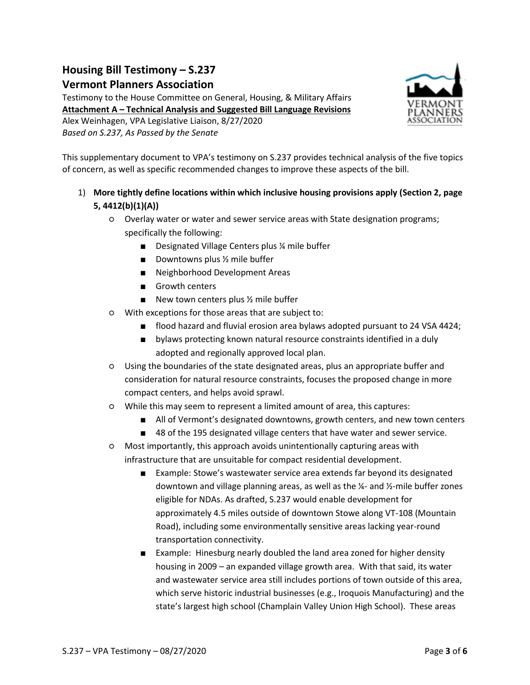# **Housing Bill Testimony – S.237**

## **Vermont Planners Association**

Testimony to the House Committee on General, Housing, & Military Affairs **Attachment A – Technical Analysis and Suggested Bill Language Revisions** Alex Weinhagen, VPA Legislative Liaison, 8/27/2020 *Based on S.237, As Passed by the Senate*



This supplementary document to VPA's testimony on S.237 provides technical analysis of the five topics of concern, as well as specific recommended changes to improve these aspects of the bill.

- 1) **More tightly define locations within which inclusive housing provisions apply (Section 2, page 5, 4412(b)(1)(A))**
	- Overlay water or water and sewer service areas with State designation programs; specifically the following:
		- Designated Village Centers plus ¼ mile buffer
		- Downtowns plus ½ mile buffer
		- Neighborhood Development Areas
		- Growth centers
		- New town centers plus ½ mile buffer
	- With exceptions for those areas that are subject to:
		- flood hazard and fluvial erosion area bylaws adopted pursuant to 24 VSA 4424;
		- bylaws protecting known natural resource constraints identified in a duly adopted and regionally approved local plan.
	- Using the boundaries of the state designated areas, plus an appropriate buffer and consideration for natural resource constraints, focuses the proposed change in more compact centers, and helps avoid sprawl.
	- While this may seem to represent a limited amount of area, this captures:
		- All of Vermont's designated downtowns, growth centers, and new town centers
		- 48 of the 195 designated village centers that have water and sewer service.
	- Most importantly, this approach avoids unintentionally capturing areas with infrastructure that are unsuitable for compact residential development.
		- Example: Stowe's wastewater service area extends far beyond its designated downtown and village planning areas, as well as the  $\frac{1}{2}$ - and  $\frac{1}{2}$ -mile buffer zones eligible for NDAs. As drafted, S.237 would enable development for approximately 4.5 miles outside of downtown Stowe along VT-108 (Mountain Road), including some environmentally sensitive areas lacking year-round transportation connectivity.
		- Example: Hinesburg nearly doubled the land area zoned for higher density housing in 2009 – an expanded village growth area. With that said, its water and wastewater service area still includes portions of town outside of this area, which serve historic industrial businesses (e.g., Iroquois Manufacturing) and the state's largest high school (Champlain Valley Union High School). These areas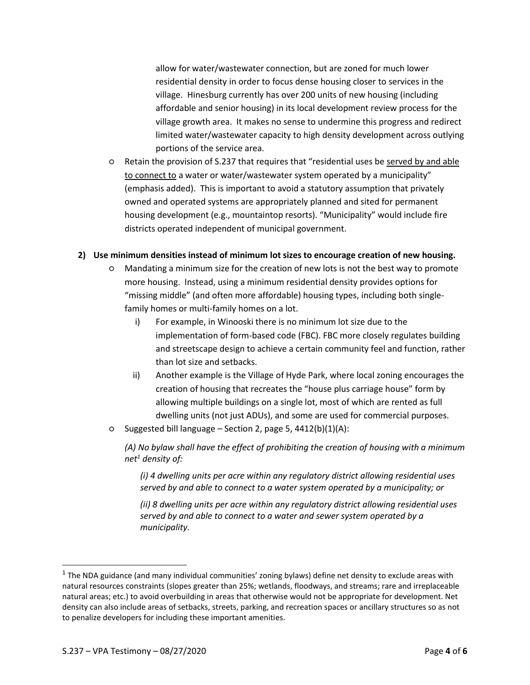allow for water/wastewater connection, but are zoned for much lower residential density in order to focus dense housing closer to services in the village. Hinesburg currently has over 200 units of new housing (including affordable and senior housing) in its local development review process for the village growth area. It makes no sense to undermine this progress and redirect limited water/wastewater capacity to high density development across outlying portions of the service area.

○ Retain the provision of S.237 that requires that "residential uses be served by and able to connect to a water or water/wastewater system operated by a municipality" (emphasis added). This is important to avoid a statutory assumption that privately owned and operated systems are appropriately planned and sited for permanent housing development (e.g., mountaintop resorts). "Municipality" would include fire districts operated independent of municipal government.

#### **2) Use minimum densities instead of minimum lot sizes to encourage creation of new housing.**

- Mandating a minimum size for the creation of new lots is not the best way to promote more housing. Instead, using a minimum residential density provides options for "missing middle" (and often more affordable) housing types, including both singlefamily homes or multi-family homes on a lot.
	- i) For example, in Winooski there is no minimum lot size due to the implementation of form-based code (FBC). FBC more closely regulates building and streetscape design to achieve a certain community feel and function, rather than lot size and setbacks.
	- ii) Another example is the Village of Hyde Park, where local zoning encourages the creation of housing that recreates the "house plus carriage house" form by allowing multiple buildings on a single lot, most of which are rented as full dwelling units (not just ADUs), and some are used for commercial purposes.
- Suggested bill language Section 2, page 5, 4412(b)(1)(A):

*(A) No bylaw shall have the effect of prohibiting the creation of housing with a minimum net<sup>1</sup> density of:*

*(i) 4 dwelling units per acre within any regulatory district allowing residential uses served by and able to connect to a water system operated by a municipality; or*

*(ii) 8 dwelling units per acre within any regulatory district allowing residential uses served by and able to connect to a water and sewer system operated by a municipality.*

<sup>&</sup>lt;sup>1</sup> The NDA guidance (and many individual communities' zoning bylaws) define net density to exclude areas with natural resources constraints (slopes greater than 25%; wetlands, floodways, and streams; rare and irreplaceable natural areas; etc.) to avoid overbuilding in areas that otherwise would not be appropriate for development. Net density can also include areas of setbacks, streets, parking, and recreation spaces or ancillary structures so as not to penalize developers for including these important amenities.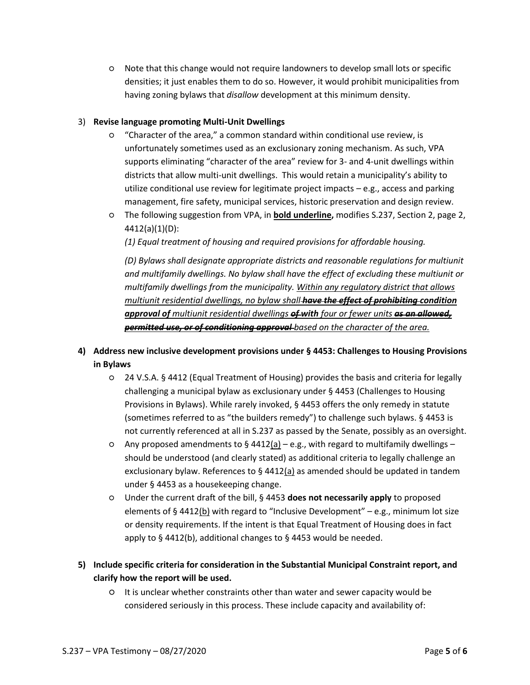○ Note that this change would not require landowners to develop small lots or specific densities; it just enables them to do so. However, it would prohibit municipalities from having zoning bylaws that *disallow* development at this minimum density.

#### 3) **Revise language promoting Multi-Unit Dwellings**

- "Character of the area," a common standard within conditional use review, is unfortunately sometimes used as an exclusionary zoning mechanism. As such, VPA supports eliminating "character of the area" review for 3- and 4-unit dwellings within districts that allow multi-unit dwellings. This would retain a municipality's ability to utilize conditional use review for legitimate project impacts – e.g., access and parking management, fire safety, municipal services, historic preservation and design review.
- The following suggestion from VPA, in **bold underline,** modifies S.237, Section 2, page 2, 4412(a)(1)(D):

*(1) Equal treatment of housing and required provisions for affordable housing.*

*(D) Bylaws shall designate appropriate districts and reasonable regulations for multiunit and multifamily dwellings. No bylaw shall have the effect of excluding these multiunit or multifamily dwellings from the municipality. Within any regulatory district that allows multiunit residential dwellings, no bylaw shall have the effect of prohibiting condition approval of multiunit residential dwellings of with four or fewer units as an allowed, permitted use, or of conditioning approval based on the character of the area.*

### **4) Address new inclusive development provisions under § 4453: Challenges to Housing Provisions in Bylaws**

- 24 V.S.A. § 4412 (Equal Treatment of Housing) provides the basis and criteria for legally challenging a municipal bylaw as exclusionary under § 4453 (Challenges to Housing Provisions in Bylaws). While rarely invoked, § 4453 offers the only remedy in statute (sometimes referred to as "the builders remedy") to challenge such bylaws. § 4453 is not currently referenced at all in S.237 as passed by the Senate, possibly as an oversight.
- $\circ$  Any proposed amendments to § 4412(a) e.g., with regard to multifamily dwellings should be understood (and clearly stated) as additional criteria to legally challenge an exclusionary bylaw. References to  $\S$  4412(a) as amended should be updated in tandem under § 4453 as a housekeeping change.
- Under the current draft of the bill, § 4453 **does not necessarily apply** to proposed elements of § 4412(b) with regard to "Inclusive Development" – e.g., minimum lot size or density requirements. If the intent is that Equal Treatment of Housing does in fact apply to § 4412(b), additional changes to § 4453 would be needed.
- **5) Include specific criteria for consideration in the Substantial Municipal Constraint report, and clarify how the report will be used.**
	- It is unclear whether constraints other than water and sewer capacity would be considered seriously in this process. These include capacity and availability of: